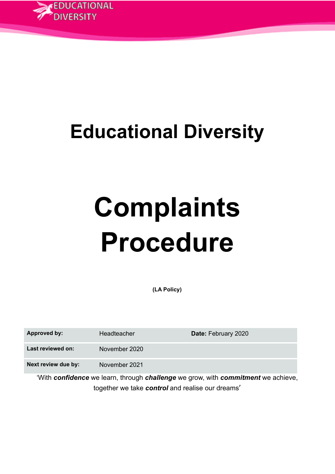

# **Educational Diversity**

# **Complaints Procedure**

**(LA Policy)**

| <b>Approved by:</b> | Headteacher   | Date: February 2020 |
|---------------------|---------------|---------------------|
| Last reviewed on:   | November 2020 |                     |
| Next review due by: | November 2021 |                     |

'With *confidence* we learn, through *challenge* we grow, with *commitment* we achieve, together we take *control* and realise our dreams'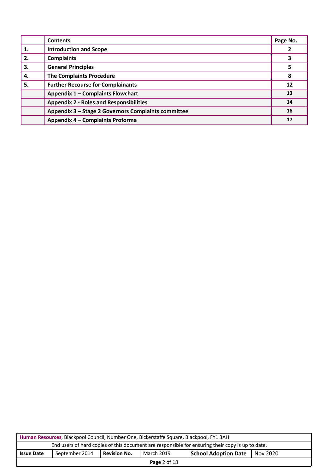|    | <b>Contents</b>                                     | Page No. |
|----|-----------------------------------------------------|----------|
| 1. | <b>Introduction and Scope</b>                       |          |
| 2. | <b>Complaints</b>                                   |          |
| 3. | <b>General Principles</b>                           | 5        |
| 4. | <b>The Complaints Procedure</b>                     | 8        |
| 5. | <b>Further Recourse for Complainants</b>            | 12       |
|    | Appendix 1 - Complaints Flowchart                   | 13       |
|    | <b>Appendix 2 - Roles and Responsibilities</b>      | 14       |
|    | Appendix 3 - Stage 2 Governors Complaints committee | 16       |
|    | Appendix 4 - Complaints Proforma                    | 17       |

| Human Resources, Blackpool Council, Number One, Bickerstaffe Square, Blackpool, FY1 3AH          |                                                                                                  |  |  |  |  |
|--------------------------------------------------------------------------------------------------|--------------------------------------------------------------------------------------------------|--|--|--|--|
| End users of hard copies of this document are responsible for ensuring their copy is up to date. |                                                                                                  |  |  |  |  |
| <b>Issue Date</b>                                                                                | September 2014<br><b>Revision No.</b><br>March 2019<br><b>School Adoption Date</b><br>1 Nov 2020 |  |  |  |  |
| <b>Page 2 of 18</b>                                                                              |                                                                                                  |  |  |  |  |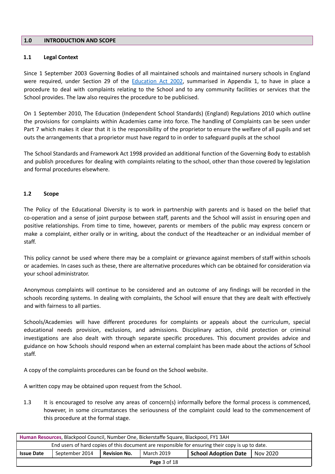# **1.0 INTRODUCTION AND SCOPE**

#### **1.1 Legal Context**

Since 1 September 2003 Governing Bodies of all maintained schools and maintained nursery schools in England were required, under Section 29 of the [Education](http://www.legislation.gov.uk/ukpga/2002/32/contents) Act 2002, summarised in Appendix 1, to have in place a procedure to deal with complaints relating to the School and to any community facilities or services that the School provides. The law also requires the procedure to be publicised.

On 1 September 2010, The Education (Independent School Standards) (England) Regulations 2010 which outline the provisions for complaints within Academies came into force. The handling of Complaints can be seen under Part 7 which makes it clear that it is the responsibility of the proprietor to ensure the welfare of all pupils and set outs the arrangements that a proprietor must have regard to in order to safeguard pupils at the school

The School Standards and Framework Act 1998 provided an additional function of the Governing Body to establish and publish procedures for dealing with complaints relating to the school, other than those covered by legislation and formal procedures elsewhere.

#### **1.2 Scope**

The Policy of the Educational Diversity is to work in partnership with parents and is based on the belief that co-operation and a sense of joint purpose between staff, parents and the School will assist in ensuring open and positive relationships. From time to time, however, parents or members of the public may express concern or make a complaint, either orally or in writing, about the conduct of the Headteacher or an individual member of staff.

This policy cannot be used where there may be a complaint or grievance against members of staff within schools or academies. In cases such as these, there are alternative procedures which can be obtained for consideration via your school administrator.

Anonymous complaints will continue to be considered and an outcome of any findings will be recorded in the schools recording systems. In dealing with complaints, the School will ensure that they are dealt with effectively and with fairness to all parties.

Schools/Academies will have different procedures for complaints or appeals about the curriculum, special educational needs provision, exclusions, and admissions. Disciplinary action, child protection or criminal investigations are also dealt with through separate specific procedures. This document provides advice and guidance on how Schools should respond when an external complaint has been made about the actions of School staff.

A copy of the complaints procedures can be found on the School website.

A written copy may be obtained upon request from the School.

1.3 It is encouraged to resolve any areas of concern(s) informally before the formal process is commenced, however, in some circumstances the seriousness of the complaint could lead to the commencement of this procedure at the formal stage.

| Human Resources, Blackpool Council, Number One, Bickerstaffe Square, Blackpool, FY1 3AH                             |  |  |  |  |  |
|---------------------------------------------------------------------------------------------------------------------|--|--|--|--|--|
| End users of hard copies of this document are responsible for ensuring their copy is up to date.                    |  |  |  |  |  |
| <b>Revision No.</b><br>March 2019<br>September 2014<br><b>Issue Date</b><br><b>School Adoption Date</b><br>Nov 2020 |  |  |  |  |  |
| <b>Page 3 of 18</b>                                                                                                 |  |  |  |  |  |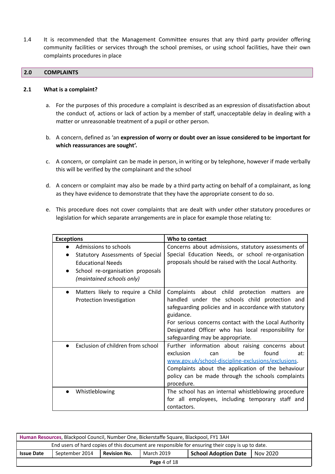1.4 It is recommended that the Management Committee ensures that any third party provider offering community facilities or services through the school premises, or using school facilities, have their own complaints procedures in place

#### **2.0 COMPLAINTS**

#### **2.1 What is a complaint?**

- a. For the purposes of this procedure a complaint is described as an expression of dissatisfaction about the conduct of, actions or lack of action by a member of staff, unacceptable delay in dealing with a matter or unreasonable treatment of a pupil or other person.
- b. A concern, defined as 'an **expression of worry or doubt over an issue considered to be important for which reassurances are sought'.**
- c. A concern, or complaint can be made in person, in writing or by telephone, however if made verbally this will be verified by the complainant and the school
- d. A concern or complaint may also be made by a third party acting on behalf of a complainant, as long as they have evidence to demonstrate that they have the appropriate consent to do so.
- e. This procedure does not cover complaints that are dealt with under other statutory procedures or legislation for which separate arrangements are in place for example those relating to:

| <b>Exceptions</b>                                                                                                                                      | Who to contact                                                                                                                                                                                                                                                                                                                |
|--------------------------------------------------------------------------------------------------------------------------------------------------------|-------------------------------------------------------------------------------------------------------------------------------------------------------------------------------------------------------------------------------------------------------------------------------------------------------------------------------|
| Admissions to schools<br>Statutory Assessments of Special<br><b>Educational Needs</b><br>School re-organisation proposals<br>(maintained schools only) | Concerns about admissions, statutory assessments of<br>Special Education Needs, or school re-organisation<br>proposals should be raised with the Local Authority.                                                                                                                                                             |
| Matters likely to require a Child<br>$\bullet$<br>Protection Investigation                                                                             | Complaints about child protection matters<br>are<br>handled under the schools child protection and<br>safeguarding policies and in accordance with statutory<br>guidance.<br>For serious concerns contact with the Local Authority<br>Designated Officer who has local responsibility for<br>safeguarding may be appropriate. |
| Exclusion of children from school                                                                                                                      | Further information about raising concerns about<br>exclusion<br>found<br>be<br>at:<br>can<br>www.gov.uk/school-discipline-exclusions/exclusions.<br>Complaints about the application of the behaviour<br>policy can be made through the schools complaints<br>procedure.                                                     |
| Whistleblowing<br>$\bullet$                                                                                                                            | The school has an internal whistleblowing procedure<br>for all employees, including temporary staff and<br>contactors.                                                                                                                                                                                                        |

| Human Resources, Blackpool Council, Number One, Bickerstaffe Square, Blackpool, FY1 3AH          |                                                                                                  |  |  |  |  |  |
|--------------------------------------------------------------------------------------------------|--------------------------------------------------------------------------------------------------|--|--|--|--|--|
| End users of hard copies of this document are responsible for ensuring their copy is up to date. |                                                                                                  |  |  |  |  |  |
| <b>Issue Date</b>                                                                                | March 2019<br><b>Revision No.</b><br>September 2014<br><b>School Adoption Date</b><br>  Nov 2020 |  |  |  |  |  |
| Page $4$ of $18$                                                                                 |                                                                                                  |  |  |  |  |  |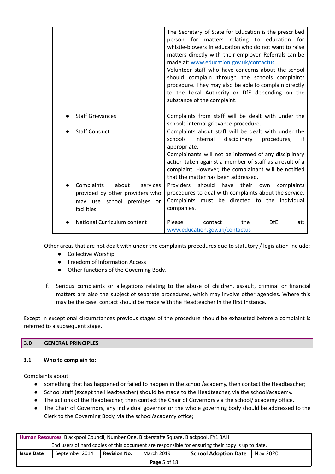|                                                                                                                | The Secretary of State for Education is the prescribed<br>person for matters relating to education for<br>whistle-blowers in education who do not want to raise<br>matters directly with their employer. Referrals can be<br>made at: www.education.gov.uk/contactus.<br>Volunteer staff who have concerns about the school<br>should complain through the schools complaints<br>procedure. They may also be able to complain directly<br>to the Local Authority or DfE depending on the<br>substance of the complaint. |
|----------------------------------------------------------------------------------------------------------------|-------------------------------------------------------------------------------------------------------------------------------------------------------------------------------------------------------------------------------------------------------------------------------------------------------------------------------------------------------------------------------------------------------------------------------------------------------------------------------------------------------------------------|
| <b>Staff Grievances</b>                                                                                        | Complaints from staff will be dealt with under the<br>schools internal grievance procedure.                                                                                                                                                                                                                                                                                                                                                                                                                             |
| <b>Staff Conduct</b><br>$\bullet$                                                                              | Complaints about staff will be dealt with under the<br>schools<br>internal<br>disciplinary<br>procedures,<br>if<br>appropriate.<br>Complainants will not be informed of any disciplinary<br>action taken against a member of staff as a result of a<br>complaint. However, the complainant will be notified<br>that the matter has been addressed.                                                                                                                                                                      |
| Complaints<br>about<br>services<br>provided by other providers who<br>may use school premises or<br>facilities | should<br>their<br><b>Providers</b><br>have<br>complaints<br>own<br>procedures to deal with complaints about the service.<br>Complaints must be directed to the individual<br>companies.                                                                                                                                                                                                                                                                                                                                |
| National Curriculum content                                                                                    | Please<br><b>DfE</b><br>the<br>contact<br>at:<br>www.education.gov.uk/contactus                                                                                                                                                                                                                                                                                                                                                                                                                                         |

Other areas that are not dealt with under the complaints procedures due to statutory / legislation include:

- Collective Worship
- Freedom of Information Access
- Other functions of the Governing Body.
- f. Serious complaints or allegations relating to the abuse of children, assault, criminal or financial matters are also the subject of separate procedures, which may involve other agencies. Where this may be the case, contact should be made with the Headteacher in the first instance.

Except in exceptional circumstances previous stages of the procedure should be exhausted before a complaint is referred to a subsequent stage.

# **3.0 GENERAL PRINCIPLES**

# **3.1 Who to complain to:**

Complaints about:

- something that has happened or failed to happen in the school/academy, then contact the Headteacher;
- School staff (except the Headteacher) should be made to the Headteacher, via the school/academy.
- The actions of the Headteacher, then contact the Chair of Governors via the school/ academy office.
- The Chair of Governors, any individual governor or the whole governing body should be addressed to the Clerk to the Governing Body, via the school/academy office;

| Human Resources, Blackpool Council, Number One, Bickerstaffe Square, Blackpool, FY1 3AH                               |  |  |  |  |  |
|-----------------------------------------------------------------------------------------------------------------------|--|--|--|--|--|
| End users of hard copies of this document are responsible for ensuring their copy is up to date.                      |  |  |  |  |  |
| September 2014<br>March 2019<br><b>Revision No.</b><br><b>Issue Date</b><br><b>School Adoption Date</b><br>  Nov 2020 |  |  |  |  |  |
| <b>Page</b> 5 of 18                                                                                                   |  |  |  |  |  |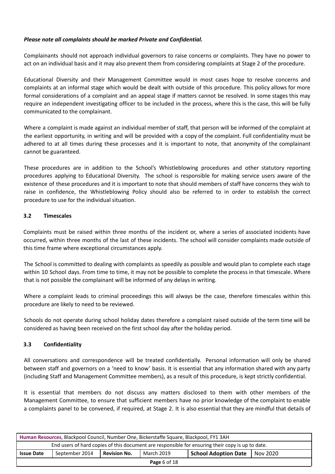# *Please note all complaints should be marked Private and Confidential.*

Complainants should not approach individual governors to raise concerns or complaints. They have no power to act on an individual basis and it may also prevent them from considering complaints at Stage 2 of the procedure.

Educational Diversity and their Management Committee would in most cases hope to resolve concerns and complaints at an informal stage which would be dealt with outside of this procedure. This policy allows for more formal considerations of a complaint and an appeal stage if matters cannot be resolved. In some stages this may require an independent investigating officer to be included in the process, where this is the case, this will be fully communicated to the complainant.

Where a complaint is made against an individual member of staff, that person will be informed of the complaint at the earliest opportunity, in writing and will be provided with a copy of the complaint. Full confidentiality must be adhered to at all times during these processes and it is important to note, that anonymity of the complainant cannot be guaranteed.

These procedures are in addition to the School's Whistleblowing procedures and other statutory reporting procedures applying to Educational Diversity. The school is responsible for making service users aware of the existence of these procedures and it is important to note that should members of staff have concerns they wish to raise in confidence, the Whistleblowing Policy should also be referred to in order to establish the correct procedure to use for the individual situation.

# **3.2 Timescales**

Complaints must be raised within three months of the incident or, where a series of associated incidents have occurred, within three months of the last of these incidents. The school will consider complaints made outside of this time frame where exceptional circumstances apply.

The School is committed to dealing with complaints as speedily as possible and would plan to complete each stage within 10 School days. From time to time, it may not be possible to complete the process in that timescale. Where that is not possible the complainant will be informed of any delays in writing.

Where a complaint leads to criminal proceedings this will always be the case, therefore timescales within this procedure are likely to need to be reviewed.

Schools do not operate during school holiday dates therefore a complaint raised outside of the term time will be considered as having been received on the first school day after the holiday period.

# **3.3 Confidentiality**

All conversations and correspondence will be treated confidentially. Personal information will only be shared between staff and governors on a 'need to know' basis. It is essential that any information shared with any party (including Staff and Management Committee members), as a result of this procedure, is kept strictly confidential.

It is essential that members do not discuss any matters disclosed to them with other members of the Management Committee, to ensure that sufficient members have no prior knowledge of the complaint to enable a complaints panel to be convened, if required, at Stage 2. It is also essential that they are mindful that details of

| Human Resources, Blackpool Council, Number One, Bickerstaffe Square, Blackpool, FY1 3AH                      |  |  |  |  |  |
|--------------------------------------------------------------------------------------------------------------|--|--|--|--|--|
| End users of hard copies of this document are responsible for ensuring their copy is up to date.             |  |  |  |  |  |
| March 2019<br>September 2014<br><b>Revision No.</b><br><b>Issue Date</b><br>School Adoption Date<br>Nov 2020 |  |  |  |  |  |
| <b>Page</b> 6 of 18                                                                                          |  |  |  |  |  |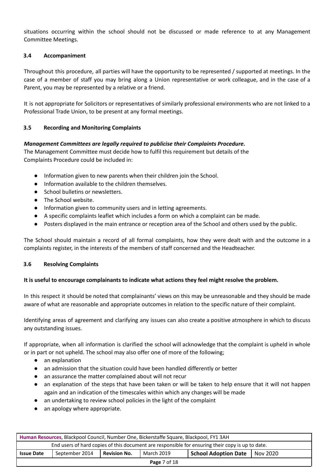situations occurring within the school should not be discussed or made reference to at any Management Committee Meetings.

#### **3.4 Accompaniment**

Throughout this procedure, all parties will have the opportunity to be represented / supported at meetings. In the case of a member of staff you may bring along a Union representative or work colleague, and in the case of a Parent, you may be represented by a relative or a friend.

It is not appropriate for Solicitors or representatives of similarly professional environments who are not linked to a Professional Trade Union, to be present at any formal meetings.

#### **3.5 Recording and Monitoring Complaints**

#### *Management Committees are legally required to publicise their Complaints Procedure.*

The Management Committee must decide how to fulfil this requirement but details of the Complaints Procedure could be included in:

- Information given to new parents when their children join the School.
- Information available to the children themselves.
- School bulletins or newsletters.
- The School website.
- Information given to community users and in letting agreements.
- A specific complaints leaflet which includes a form on which a complaint can be made.
- Posters displayed in the main entrance or reception area of the School and others used by the public.

The School should maintain a record of all formal complaints, how they were dealt with and the outcome in a complaints register, in the interests of the members of staff concerned and the Headteacher.

#### **3.6 Resolving Complaints**

#### **It is useful to encourage complainants to indicate what actions they feel might resolve the problem.**

In this respect it should be noted that complainants' views on this may be unreasonable and they should be made aware of what are reasonable and appropriate outcomes in relation to the specific nature of their complaint.

Identifying areas of agreement and clarifying any issues can also create a positive atmosphere in which to discuss any outstanding issues.

If appropriate, when all information is clarified the school will acknowledge that the complaint is upheld in whole or in part or not upheld. The school may also offer one of more of the following;

- an explanation
- an admission that the situation could have been handled differently or better
- an assurance the matter complained about will not recur
- an explanation of the steps that have been taken or will be taken to help ensure that it will not happen again and an indication of the timescales within which any changes will be made
- an undertaking to review school policies in the light of the complaint
- an apology where appropriate.

| Human Resources, Blackpool Council, Number One, Bickerstaffe Square, Blackpool, FY1 3AH                               |  |  |  |  |  |
|-----------------------------------------------------------------------------------------------------------------------|--|--|--|--|--|
| End users of hard copies of this document are responsible for ensuring their copy is up to date.                      |  |  |  |  |  |
| September 2014<br><b>Revision No.</b><br>March 2019<br><b>Issue Date</b><br><b>School Adoption Date</b><br>1 Nov 2020 |  |  |  |  |  |
| <b>Page 7 of 18</b>                                                                                                   |  |  |  |  |  |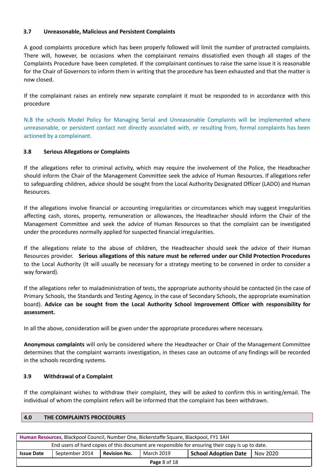# **3.7 Unreasonable, Malicious and Persistent Complaints**

A good complaints procedure which has been properly followed will limit the number of protracted complaints. There will, however, be occasions when the complainant remains dissatisfied even though all stages of the Complaints Procedure have been completed. If the complainant continues to raise the same issue it is reasonable for the Chair of Governors to inform them in writing that the procedure has been exhausted and that the matter is now closed.

If the complainant raises an entirely new separate complaint it must be responded to in accordance with this procedure

N.B the schools Model Policy for Managing Serial and Unreasonable Complaints will be implemented where unreasonable, or persistent contact not directly associated with, or resulting from, formal complaints has been actioned by a complainant.

#### **3.8 Serious Allegations or Complaints**

If the allegations refer to criminal activity, which may require the involvement of the Police, the Headteacher should inform the Chair of the Management Committee seek the advice of Human Resources. If allegations refer to safeguarding children, advice should be sought from the Local Authority Designated Officer (LADO) and Human Resources.

If the allegations involve financial or accounting irregularities or circumstances which may suggest irregularities affecting cash, stores, property, remuneration or allowances, the Headteacher should inform the Chair of the Management Committee and seek the advice of Human Resources so that the complaint can be investigated under the procedures normally applied for suspected financial irregularities.

If the allegations relate to the abuse of children, the Headteacher should seek the advice of their Human Resources provider. **Serious allegations of this nature must be referred under our Child Protection Procedures** to the Local Authority (It will usually be necessary for a strategy meeting to be convened in order to consider a way forward).

If the allegations refer to maladministration of tests, the appropriate authority should be contacted (in the case of Primary Schools, the Standards and Testing Agency, in the case of Secondary Schools, the appropriate examination board). **Advice can be sought from the Local Authority School Improvement Officer with responsibility for assessment.**

In all the above, consideration will be given under the appropriate procedures where necessary.

**Anonymous complaints** will only be considered where the Headteacher or Chair of the Management Committee determines that the complaint warrants investigation, in theses case an outcome of any findings will be recorded in the schools recording systems.

#### **3.9 Withdrawal of a Complaint**

If the complainant wishes to withdraw their complaint, they will be asked to confirm this in writing/email. The individual of whom the complaint refers will be informed that the complaint has been withdrawn.

| Human Resources, Blackpool Council, Number One, Bickerstaffe Square, Blackpool, FY1 3AH                               |  |  |  |  |  |  |
|-----------------------------------------------------------------------------------------------------------------------|--|--|--|--|--|--|
| End users of hard copies of this document are responsible for ensuring their copy is up to date.                      |  |  |  |  |  |  |
| <b>Revision No.</b><br>September 2014<br>March 2019<br><b>School Adoption Date</b><br><b>Issue Date</b><br>1 Nov 2020 |  |  |  |  |  |  |
| Daga $9$ of 19                                                                                                        |  |  |  |  |  |  |

**Page** 8 of 18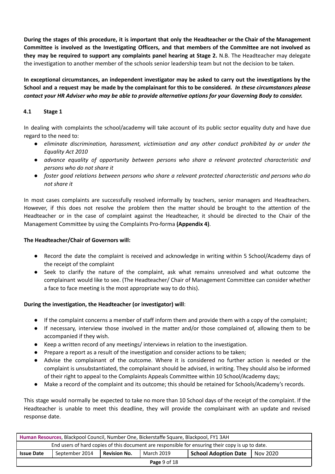During the stages of this procedure, it is important that only the Headteacher or the Chair of the Management Committee is involved as the Investigating Officers, and that members of the Committee are not involved as **they may be required to support any complaints panel hearing at Stage 2.** N.B. The Headteacher may delegate the investigation to another member of the schools senior leadership team but not the decision to be taken.

**In exceptional circumstances, an independent investigator may be asked to carry out the investigations by the** School and a request may be made by the complainant for this to be considered. In these circumstances please contact your HR Adviser who may be able to provide alternative options for your Governing Body to consider.

# **4.1 Stage 1**

In dealing with complaints the school/academy will take account of its public sector equality duty and have due regard to the need to:

- *● eliminate discrimination, harassment, victimisation and any other conduct prohibited by or under the Equality Act 2010*
- *● advance equality of opportunity between persons who share a relevant protected characteristic and persons who do not share it*
- *● foster good relations between persons who share a relevant protected characteristic and persons who do not share it*

In most cases complaints are successfully resolved informally by teachers, senior managers and Headteachers. However, if this does not resolve the problem then the matter should be brought to the attention of the Headteacher or in the case of complaint against the Headteacher, it should be directed to the Chair of the Management Committee by using the Complaints Pro-forma **(Appendix 4)**.

# **The Headteacher/Chair of Governors will:**

- Record the date the complaint is received and acknowledge in writing within 5 School/Academy days of the receipt of the complaint
- Seek to clarify the nature of the complaint, ask what remains unresolved and what outcome the complainant would like to see. (The Headteacher/ Chair of Management Committee can consider whether a face to face meeting is the most appropriate way to do this).

# **During the investigation, the Headteacher (or investigator) will**:

- If the complaint concerns a member of staff inform them and provide them with a copy of the complaint;
- If necessary, interview those involved in the matter and/or those complained of, allowing them to be accompanied if they wish.
- Keep a written record of any meetings/ interviews in relation to the investigation.
- Prepare a report as a result of the investigation and consider actions to be taken;
- Advise the complainant of the outcome. Where it is considered no further action is needed or the complaint is unsubstantiated, the complainant should be advised, in writing. They should also be informed of their right to appeal to the Complaints Appeals Committee within 10 School/Academy days;
- Make a record of the complaint and its outcome; this should be retained for Schools/Academy's records.

This stage would normally be expected to take no more than 10 School days of the receipt of the complaint. If the Headteacher is unable to meet this deadline, they will provide the complainant with an update and revised response date.

| Human Resources, Blackpool Council, Number One, Bickerstaffe Square, Blackpool, FY1 3AH          |                |                     |            |                      |          |
|--------------------------------------------------------------------------------------------------|----------------|---------------------|------------|----------------------|----------|
| End users of hard copies of this document are responsible for ensuring their copy is up to date. |                |                     |            |                      |          |
| <b>Issue Date</b>                                                                                | September 2014 | <b>Revision No.</b> | March 2019 | School Adoption Date | Nov 2020 |
| Page 9 of 18                                                                                     |                |                     |            |                      |          |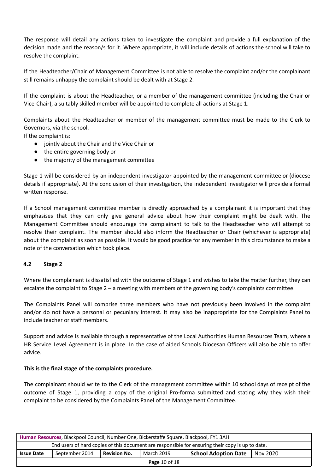The response will detail any actions taken to investigate the complaint and provide a full explanation of the decision made and the reason/s for it. Where appropriate, it will include details of actions the school will take to resolve the complaint.

If the Headteacher/Chair of Management Committee is not able to resolve the complaint and/or the complainant still remains unhappy the complaint should be dealt with at Stage 2.

If the complaint is about the Headteacher, or a member of the management committee (including the Chair or Vice-Chair), a suitably skilled member will be appointed to complete all actions at Stage 1.

Complaints about the Headteacher or member of the management committee must be made to the Clerk to Governors, via the school.

If the complaint is:

- jointly about the Chair and the Vice Chair or
- the entire governing body or
- the majority of the management committee

Stage 1 will be considered by an independent investigator appointed by the management committee or (diocese details if appropriate). At the conclusion of their investigation, the independent investigator will provide a formal written response.

If a School management committee member is directly approached by a complainant it is important that they emphasises that they can only give general advice about how their complaint might be dealt with. The Management Committee should encourage the complainant to talk to the Headteacher who will attempt to resolve their complaint. The member should also inform the Headteacher or Chair (whichever is appropriate) about the complaint as soon as possible. It would be good practice for any member in this circumstance to make a note of the conversation which took place.

#### **4.2 Stage 2**

Where the complainant is dissatisfied with the outcome of Stage 1 and wishes to take the matter further, they can escalate the complaint to Stage 2 – a meeting with members of the governing body's complaints committee.

The Complaints Panel will comprise three members who have not previously been involved in the complaint and/or do not have a personal or pecuniary interest. It may also be inappropriate for the Complaints Panel to include teacher or staff members.

Support and advice is available through a representative of the Local Authorities Human Resources Team, where a HR Service Level Agreement is in place. In the case of aided Schools Diocesan Officers will also be able to offer advice.

#### **This is the final stage of the complaints procedure.**

The complainant should write to the Clerk of the management committee within 10 school days of receipt of the outcome of Stage 1, providing a copy of the original Pro-forma submitted and stating why they wish their complaint to be considered by the Complaints Panel of the Management Committee.

| Human Resources, Blackpool Council, Number One, Bickerstaffe Square, Blackpool, FY1 3AH          |                |                     |            |                             |          |
|--------------------------------------------------------------------------------------------------|----------------|---------------------|------------|-----------------------------|----------|
| End users of hard copies of this document are responsible for ensuring their copy is up to date. |                |                     |            |                             |          |
| <b>Issue Date</b>                                                                                | September 2014 | <b>Revision No.</b> | March 2019 | <b>School Adoption Date</b> | Nov 2020 |
| <b>Page 10 of 18</b>                                                                             |                |                     |            |                             |          |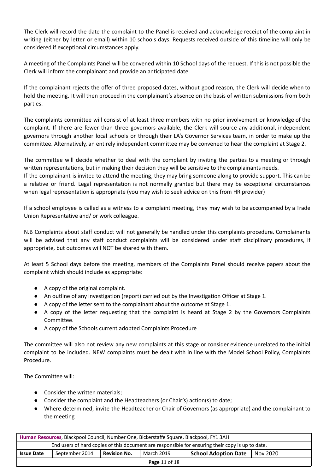The Clerk will record the date the complaint to the Panel is received and acknowledge receipt of the complaint in writing (either by letter or email) within 10 schools days. Requests received outside of this timeline will only be considered if exceptional circumstances apply.

A meeting of the Complaints Panel will be convened within 10 School days of the request. If this is not possible the Clerk will inform the complainant and provide an anticipated date.

If the complainant rejects the offer of three proposed dates, without good reason, the Clerk will decide when to hold the meeting. It will then proceed in the complainant's absence on the basis of written submissions from both parties.

The complaints committee will consist of at least three members with no prior involvement or knowledge of the complaint. If there are fewer than three governors available, the Clerk will source any additional, independent governors through another local schools or through their LA's Governor Services team, in order to make up the committee. Alternatively, an entirely independent committee may be convened to hear the complaint at Stage 2.

The committee will decide whether to deal with the complaint by inviting the parties to a meeting or through written representations, but in making their decision they will be sensitive to the complainants needs.

If the complainant is invited to attend the meeting, they may bring someone along to provide support. This can be a relative or friend. Legal representation is not normally granted but there may be exceptional circumstances when legal representation is appropriate (you may wish to seek advice on this from HR provider)

If a school employee is called as a witness to a complaint meeting, they may wish to be accompanied by a Trade Union Representative and/ or work colleague.

N.B Complaints about staff conduct will not generally be handled under this complaints procedure. Complainants will be advised that any staff conduct complaints will be considered under staff disciplinary procedures, if appropriate, but outcomes will NOT be shared with them.

At least 5 School days before the meeting, members of the Complaints Panel should receive papers about the complaint which should include as appropriate:

- A copy of the original complaint.
- An outline of any investigation (report) carried out by the Investigation Officer at Stage 1.
- A copy of the letter sent to the complainant about the outcome at Stage 1.
- A copy of the letter requesting that the complaint is heard at Stage 2 by the Governors Complaints Committee.
- A copy of the Schools current adopted Complaints Procedure

The committee will also not review any new complaints at this stage or consider evidence unrelated to the initial complaint to be included. NEW complaints must be dealt with in line with the Model School Policy, Complaints Procedure.

The Committee will:

- Consider the written materials;
- Consider the complaint and the Headteachers (or Chair's) action(s) to date;
- Where determined, invite the Headteacher or Chair of Governors (as appropriate) and the complainant to the meeting

| Human Resources, Blackpool Council, Number One, Bickerstaffe Square, Blackpool, FY1 3AH          |                |                     |            |                             |          |
|--------------------------------------------------------------------------------------------------|----------------|---------------------|------------|-----------------------------|----------|
| End users of hard copies of this document are responsible for ensuring their copy is up to date. |                |                     |            |                             |          |
| <b>Issue Date</b>                                                                                | September 2014 | <b>Revision No.</b> | March 2019 | <b>School Adoption Date</b> | Nov 2020 |
| <b>Page 11 of 18</b>                                                                             |                |                     |            |                             |          |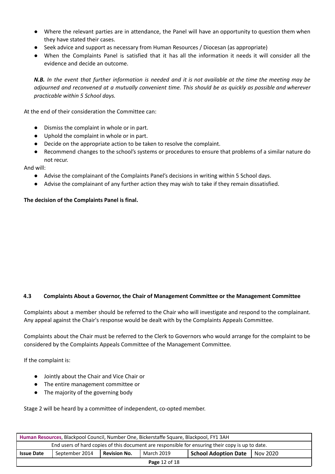- Where the relevant parties are in attendance, the Panel will have an opportunity to question them when they have stated their cases.
- Seek advice and support as necessary from Human Resources / Diocesan (as appropriate)
- When the Complaints Panel is satisfied that it has all the information it needs it will consider all the evidence and decide an outcome.

N.B. In the event that further information is needed and it is not available at the time the meeting may be adjourned and reconvened at a mutually convenient time. This should be as quickly as possible and wherever *practicable within 5 School days.*

At the end of their consideration the Committee can:

- Dismiss the complaint in whole or in part.
- Uphold the complaint in whole or in part.
- Decide on the appropriate action to be taken to resolve the complaint.
- Recommend changes to the school's systems or procedures to ensure that problems of a similar nature do not recur.

And will:

- Advise the complainant of the Complaints Panel's decisions in writing within 5 School days.
- Advise the complainant of any further action they may wish to take if they remain dissatisfied.

# **The decision of the Complaints Panel is final.**

# **4.3 Complaints About a Governor, the Chair of Management Committee or the Management Committee**

Complaints about a member should be referred to the Chair who will investigate and respond to the complainant. Any appeal against the Chair's response would be dealt with by the Complaints Appeals Committee.

Complaints about the Chair must be referred to the Clerk to Governors who would arrange for the complaint to be considered by the Complaints Appeals Committee of the Management Committee.

If the complaint is:

- Jointly about the Chair and Vice Chair or
- The entire management committee or
- The majority of the governing body

Stage 2 will be heard by a committee of independent, co-opted member.

| Human Resources, Blackpool Council, Number One, Bickerstaffe Square, Blackpool, FY1 3AH          |                |                     |            |                             |            |
|--------------------------------------------------------------------------------------------------|----------------|---------------------|------------|-----------------------------|------------|
| End users of hard copies of this document are responsible for ensuring their copy is up to date. |                |                     |            |                             |            |
| <b>Issue Date</b>                                                                                | September 2014 | <b>Revision No.</b> | March 2019 | <b>School Adoption Date</b> | 1 Nov 2020 |
| <b>Page 12 of 18</b>                                                                             |                |                     |            |                             |            |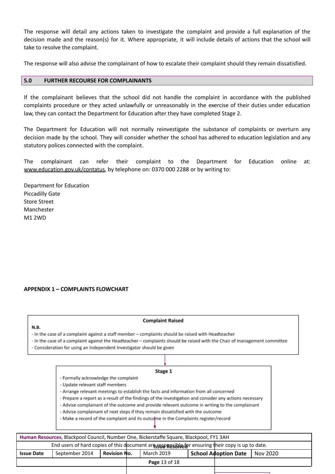The response will detail any actions taken to investigate the complaint and provide a full explanation of the decision made and the reason(s) for it. Where appropriate, it will include details of actions that the school will take to resolve the complaint.

The response will also advise the complainant of how to escalate their complaint should they remain dissatisfied.

#### **5.0 FURTHER RECOURSE FOR COMPLAINANTS**

If the complainant believes that the school did not handle the complaint in accordance with the published complaints procedure or they acted unlawfully or unreasonably in the exercise of their duties under education law, they can contact the Department for Education after they have completed Stage 2.

The Department for Education will not normally reinvestigate the substance of complaints or overturn any decision made by the school. They will consider whether the school has adhered to education legislation and any statutory polices connected with the complaint.

The complainant can refer their complaint to the Department for Education online at: [www.education.gov.uk/contatus,](http://www.education.gov.uk/contatus) by telephone on: 0370 000 2288 or by writing to:

Department for Education Piccadilly Gate Store Street Manchester M1 2WD

 $N.B.$ 

#### **APPENDIX 1 – COMPLAINTS FLOWCHART**

#### **Complaint Raised**

- In the case of a complaint against a staff member - complaints should be raised with Headteacher

- In the case of a complaint against the Headteacher - complaints should be raised with the Chair of management committee

- Consideration for using an Independent Investigator should be given

#### Stage 1

- Formally acknowledge the complaint
- Update relevant staff members
- Arrange relevant meetings to establish the facts and information from all concerned

- Prepare a report as a result of the findings of the investigation and consider any actions necessary

- Advise complainant of the outcome and provide relevant outcome in writing to the complainant
- Advise complainant of next steps if they remain dissatisfied with the outcome
- Make a record of the complaint and its outcome in the Complaints register/record

| Human Resources, Blackpool Council, Number One, Bickerstaffe Square, Blackpool, FY1 3AH           |                |                     |  |                      |  |                             |          |
|---------------------------------------------------------------------------------------------------|----------------|---------------------|--|----------------------|--|-----------------------------|----------|
| End users of hard copies of this document are seen pasible for ensuring their copy is up to date. |                |                     |  |                      |  |                             |          |
| <b>Issue Date</b>                                                                                 | September 2014 | <b>Revision No.</b> |  | March 2019           |  | <b>School Adoption Date</b> | Nov 2020 |
|                                                                                                   |                |                     |  | <b>Page 13 of 18</b> |  |                             |          |
|                                                                                                   |                |                     |  |                      |  |                             |          |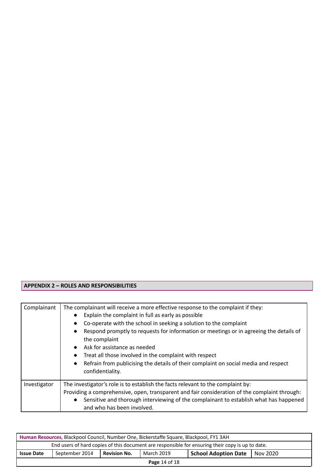# **APPENDIX 2 – ROLES AND RESPONSIBILITIES**

| Complainant  | The complainant will receive a more effective response to the complaint if they:<br>Explain the complaint in full as early as possible<br>Co-operate with the school in seeking a solution to the complaint<br>Respond promptly to requests for information or meetings or in agreeing the details of<br>the complaint<br>Ask for assistance as needed<br>Treat all those involved in the complaint with respect<br>Refrain from publicising the details of their complaint on social media and respect<br>$\bullet$<br>confidentiality. |
|--------------|------------------------------------------------------------------------------------------------------------------------------------------------------------------------------------------------------------------------------------------------------------------------------------------------------------------------------------------------------------------------------------------------------------------------------------------------------------------------------------------------------------------------------------------|
| Investigator | The investigator's role is to establish the facts relevant to the complaint by:<br>Providing a comprehensive, open, transparent and fair consideration of the complaint through:<br>Sensitive and thorough interviewing of the complainant to establish what has happened<br>and who has been involved.                                                                                                                                                                                                                                  |

| Human Resources, Blackpool Council, Number One, Bickerstaffe Square, Blackpool, FY1 3AH          |                |              |            |                             |          |
|--------------------------------------------------------------------------------------------------|----------------|--------------|------------|-----------------------------|----------|
| End users of hard copies of this document are responsible for ensuring their copy is up to date. |                |              |            |                             |          |
| <b>Issue Date</b>                                                                                | September 2014 | Revision No. | March 2019 | <b>School Adoption Date</b> | Nov 2020 |
| <b>Page 14 of 18</b>                                                                             |                |              |            |                             |          |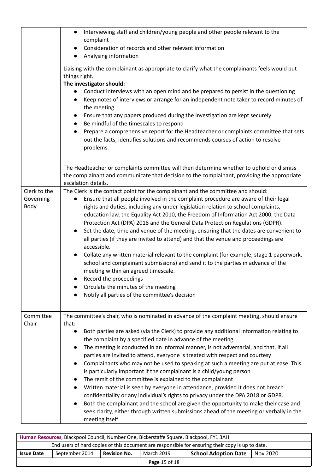|                                   | Interviewing staff and children/young people and other people relevant to the<br>$\bullet$<br>complaint<br>Consideration of records and other relevant information<br>$\bullet$<br>Analysing information<br>$\bullet$<br>Liaising with the complainant as appropriate to clarify what the complainants feels would put<br>things right.<br>The investigator should:<br>Conduct interviews with an open mind and be prepared to persist in the questioning<br>$\bullet$<br>Keep notes of interviews or arrange for an independent note taker to record minutes of<br>$\bullet$<br>the meeting<br>Ensure that any papers produced during the investigation are kept securely<br>$\bullet$<br>Be mindful of the timescales to respond<br>$\bullet$<br>Prepare a comprehensive report for the Headteacher or complaints committee that sets<br>$\bullet$                                                                                                                                                                                                                                      |
|-----------------------------------|-------------------------------------------------------------------------------------------------------------------------------------------------------------------------------------------------------------------------------------------------------------------------------------------------------------------------------------------------------------------------------------------------------------------------------------------------------------------------------------------------------------------------------------------------------------------------------------------------------------------------------------------------------------------------------------------------------------------------------------------------------------------------------------------------------------------------------------------------------------------------------------------------------------------------------------------------------------------------------------------------------------------------------------------------------------------------------------------|
|                                   | out the facts, identifies solutions and recommends courses of action to resolve<br>problems.<br>The Headteacher or complaints committee will then determine whether to uphold or dismiss<br>the complainant and communicate that decision to the complainant, providing the appropriate<br>escalation details.                                                                                                                                                                                                                                                                                                                                                                                                                                                                                                                                                                                                                                                                                                                                                                            |
| Clerk to the<br>Governing<br>Body | The Clerk is the contact point for the complainant and the committee and should:<br>Ensure that all people involved in the complaint procedure are aware of their legal<br>rights and duties, including any under legislation relation to school complaints,<br>education law, the Equality Act 2010, the Freedom of Information Act 2000, the Data<br>Protection Act (DPA) 2018 and the General Data Protection Regulations (GDPR).<br>Set the date, time and venue of the meeting, ensuring that the dates are convenient to<br>$\bullet$<br>all parties (if they are invited to attend) and that the venue and proceedings are<br>accessible.<br>Collate any written material relevant to the complaint (for example; stage 1 paperwork,<br>$\bullet$<br>school and complainant submissions) and send it to the parties in advance of the<br>meeting within an agreed timescale.<br>Record the proceedings<br>Circulate the minutes of the meeting<br>Notify all parties of the committee's decision                                                                                   |
| Committee<br>Chair                | The committee's chair, who is nominated in advance of the complaint meeting, should ensure<br>that:<br>Both parties are asked (via the Clerk) to provide any additional information relating to<br>$\bullet$<br>the complaint by a specified date in advance of the meeting<br>The meeting is conducted in an informal manner, is not adversarial, and that, if all<br>parties are invited to attend, everyone is treated with respect and courtesy<br>Complainants who may not be used to speaking at such a meeting are put at ease. This<br>$\bullet$<br>is particularly important if the complainant is a child/young person<br>The remit of the committee is explained to the complainant<br>$\bullet$<br>Written material is seen by everyone in attendance, provided it does not breach<br>confidentiality or any individual's rights to privacy under the DPA 2018 or GDPR.<br>Both the complainant and the school are given the opportunity to make their case and<br>seek clarity, either through written submissions ahead of the meeting or verbally in the<br>meeting itself |

| Human Resources, Blackpool Council, Number One, Bickerstaffe Square, Blackpool, FY1 3AH          |                |                     |            |                                 |  |
|--------------------------------------------------------------------------------------------------|----------------|---------------------|------------|---------------------------------|--|
| End users of hard copies of this document are responsible for ensuring their copy is up to date. |                |                     |            |                                 |  |
| <b>Issue Date</b>                                                                                | September 2014 | <b>Revision No.</b> | March 2019 | School Adoption Date   Nov 2020 |  |
| <b>Page 15 of 18</b>                                                                             |                |                     |            |                                 |  |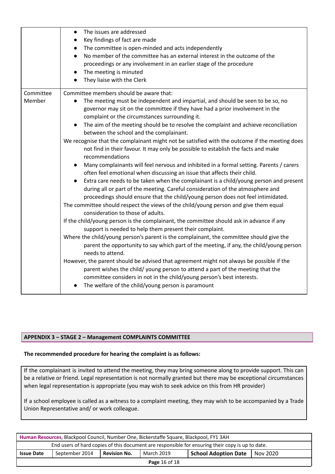|                     | The issues are addressed<br>$\bullet$<br>Key findings of fact are made<br>$\bullet$<br>The committee is open-minded and acts independently<br>$\bullet$<br>No member of the committee has an external interest in the outcome of the<br>$\bullet$<br>proceedings or any involvement in an earlier stage of the procedure<br>The meeting is minuted<br>$\bullet$<br>They liaise with the Clerk                                                                                                                                                                                                                                                                                                                                                                                                                                                                                                                                                                                                                                                                                                                                                                                                                                                                                                                                                                                                                                                                                                                                                                                                                                                                                                                                                                                                                                                                          |
|---------------------|------------------------------------------------------------------------------------------------------------------------------------------------------------------------------------------------------------------------------------------------------------------------------------------------------------------------------------------------------------------------------------------------------------------------------------------------------------------------------------------------------------------------------------------------------------------------------------------------------------------------------------------------------------------------------------------------------------------------------------------------------------------------------------------------------------------------------------------------------------------------------------------------------------------------------------------------------------------------------------------------------------------------------------------------------------------------------------------------------------------------------------------------------------------------------------------------------------------------------------------------------------------------------------------------------------------------------------------------------------------------------------------------------------------------------------------------------------------------------------------------------------------------------------------------------------------------------------------------------------------------------------------------------------------------------------------------------------------------------------------------------------------------------------------------------------------------------------------------------------------------|
| Committee<br>Member | Committee members should be aware that:<br>The meeting must be independent and impartial, and should be seen to be so, no<br>governor may sit on the committee if they have had a prior involvement in the<br>complaint or the circumstances surrounding it.<br>The aim of the meeting should be to resolve the complaint and achieve reconciliation<br>between the school and the complainant.<br>We recognise that the complainant might not be satisfied with the outcome if the meeting does<br>not find in their favour. It may only be possible to establish the facts and make<br>recommendations<br>Many complainants will feel nervous and inhibited in a formal setting. Parents / carers<br>often feel emotional when discussing an issue that affects their child.<br>Extra care needs to be taken when the complainant is a child/young person and present<br>$\bullet$<br>during all or part of the meeting. Careful consideration of the atmosphere and<br>proceedings should ensure that the child/young person does not feel intimidated.<br>The committee should respect the views of the child/young person and give them equal<br>consideration to those of adults.<br>If the child/young person is the complainant, the committee should ask in advance if any<br>support is needed to help them present their complaint.<br>Where the child/young person's parent is the complainant, the committee should give the<br>parent the opportunity to say which part of the meeting, if any, the child/young person<br>needs to attend.<br>However, the parent should be advised that agreement might not always be possible if the<br>parent wishes the child/ young person to attend a part of the meeting that the<br>committee considers in not in the child/young person's best interests.<br>The welfare of the child/young person is paramount |

# **APPENDIX 3 – STAGE 2 – Management COMPLAINTS COMMITTEE**

#### **The recommended procedure for hearing the complaint is as follows:**

If the complainant is invited to attend the meeting, they may bring someone along to provide support. This can be a relative or friend. Legal representation is not normally granted but there may be exceptional circumstances when legal representation is appropriate (you may wish to seek advice on this from HR provider)

If a school employee is called as a witness to a complaint meeting, they may wish to be accompanied by a Trade Union Representative and/ or work colleague.

| Human Resources, Blackpool Council, Number One, Bickerstaffe Square, Blackpool, FY1 3AH          |                |                     |            |                      |          |
|--------------------------------------------------------------------------------------------------|----------------|---------------------|------------|----------------------|----------|
| End users of hard copies of this document are responsible for ensuring their copy is up to date. |                |                     |            |                      |          |
| <b>Issue Date</b>                                                                                | September 2014 | <b>Revision No.</b> | March 2019 | School Adoption Date | Nov 2020 |
| <b>Page 16 of 18</b>                                                                             |                |                     |            |                      |          |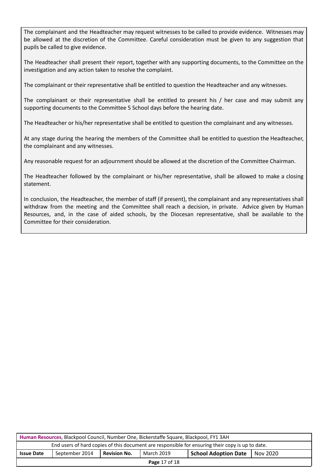The complainant and the Headteacher may request witnesses to be called to provide evidence. Witnesses may be allowed at the discretion of the Committee. Careful consideration must be given to any suggestion that pupils be called to give evidence.

The Headteacher shall present their report, together with any supporting documents, to the Committee on the investigation and any action taken to resolve the complaint.

The complainant or their representative shall be entitled to question the Headteacher and any witnesses.

The complainant or their representative shall be entitled to present his / her case and may submit any supporting documents to the Committee 5 School days before the hearing date.

The Headteacher or his/her representative shall be entitled to question the complainant and any witnesses.

At any stage during the hearing the members of the Committee shall be entitled to question the Headteacher, the complainant and any witnesses.

Any reasonable request for an adjournment should be allowed at the discretion of the Committee Chairman.

The Headteacher followed by the complainant or his/her representative, shall be allowed to make a closing statement.

In conclusion, the Headteacher, the member of staff (if present), the complainant and any representatives shall withdraw from the meeting and the Committee shall reach a decision, in private. Advice given by Human Resources, and, in the case of aided schools, by the Diocesan representative, shall be available to the Committee for their consideration.

| Human Resources, Blackpool Council, Number One, Bickerstaffe Square, Blackpool, FY1 3AH                      |  |  |  |  |  |
|--------------------------------------------------------------------------------------------------------------|--|--|--|--|--|
| End users of hard copies of this document are responsible for ensuring their copy is up to date.             |  |  |  |  |  |
| March 2019<br>September 2014<br><b>Revision No.</b><br><b>Issue Date</b><br>School Adoption Date<br>Nov 2020 |  |  |  |  |  |
| <b>Page 17 of 18</b>                                                                                         |  |  |  |  |  |